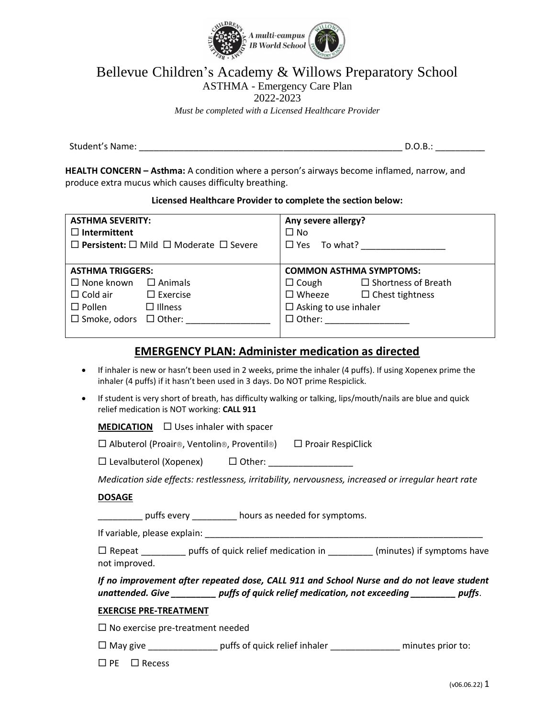

# Bellevue Children's Academy & Willows Preparatory School

ASTHMA - Emergency Care Plan

2022-2023

*Must be completed with a Licensed Healthcare Provider*

Student's Name: \_\_\_\_\_\_\_\_\_\_\_\_\_\_\_\_\_\_\_\_\_\_\_\_\_\_\_\_\_\_\_\_\_\_\_\_\_\_\_\_\_\_\_\_\_\_\_\_\_\_\_\_\_ D.O.B.: \_\_\_\_\_\_\_\_\_\_

**HEALTH CONCERN – Asthma:** A condition where a person's airways become inflamed, narrow, and produce extra mucus which causes difficulty breathing.

#### **Licensed Healthcare Provider to complete the section below:**

| <b>ASTHMA SEVERITY:</b>                                      |                    | Any severe allergy?            |                                      |
|--------------------------------------------------------------|--------------------|--------------------------------|--------------------------------------|
| $\Box$ Intermittent                                          |                    | $\Box$ No                      |                                      |
| $\Box$ Persistent: $\Box$ Mild $\Box$ Moderate $\Box$ Severe |                    | $\Box$ Yes To what?            |                                      |
|                                                              |                    |                                |                                      |
| <b>ASTHMA TRIGGERS:</b>                                      |                    | <b>COMMON ASTHMA SYMPTOMS:</b> |                                      |
| $\Box$ None known $\Box$ Animals                             |                    | $\Box$ Cough                   | $\Box$ Shortness of Breath           |
| $\Box$ Cold air                                              | $\square$ Exercise |                                | $\Box$ Wheeze $\Box$ Chest tightness |
| $\square$ Pollen                                             | $\Box$ Illness     | $\Box$ Asking to use inhaler   |                                      |
| $\Box$ Smoke, odors $\Box$ Other:                            |                    |                                |                                      |
|                                                              |                    |                                |                                      |

## **EMERGENCY PLAN: Administer medication as directed**

- If inhaler is new or hasn't been used in 2 weeks, prime the inhaler (4 puffs). If using Xopenex prime the inhaler (4 puffs) if it hasn't been used in 3 days. Do NOT prime Respiclick.
- If student is very short of breath, has difficulty walking or talking, lips/mouth/nails are blue and quick relief medication is NOT working: **CALL 911**

**MEDICATION** □ Uses inhaler with spacer

| □ Albuterol (Proair®, Ventolin®, Proventil®) | $\Box$ Proair RespiClick |
|----------------------------------------------|--------------------------|
|----------------------------------------------|--------------------------|

Levalbuterol (Xopenex) Other: \_\_\_\_\_\_\_\_\_\_\_\_\_\_\_\_\_

*Medication side effects: restlessness, irritability, nervousness, increased or irregular heart rate*

#### **DOSAGE**

puffs every **contained** hours as needed for symptoms.

If variable, please explain: \_\_\_\_\_\_\_\_\_\_\_\_\_\_\_\_\_\_\_\_\_\_\_\_\_\_\_\_\_\_\_\_\_\_\_\_\_\_\_\_\_\_\_\_\_\_\_\_\_\_\_\_\_\_\_\_

 Repeat \_\_\_\_\_\_\_\_\_ puffs of quick relief medication in \_\_\_\_\_\_\_\_\_ (minutes) if symptoms have not improved.

*If no improvement after repeated dose, CALL 911 and School Nurse and do not leave student unattended. Give \_\_\_\_\_\_\_\_\_ puffs of quick relief medication, not exceeding \_\_\_\_\_\_\_\_\_ puffs*.

#### **EXERCISE PRE-TREATMENT**

 $\square$  No exercise pre-treatment needed

 $\square$  May give \_\_\_\_\_\_\_\_\_\_\_\_\_\_\_\_\_ puffs of quick relief inhaler \_\_\_\_\_\_\_\_\_\_\_\_\_\_\_\_\_ minutes prior to:

 $\Box$  PE  $\Box$  Recess